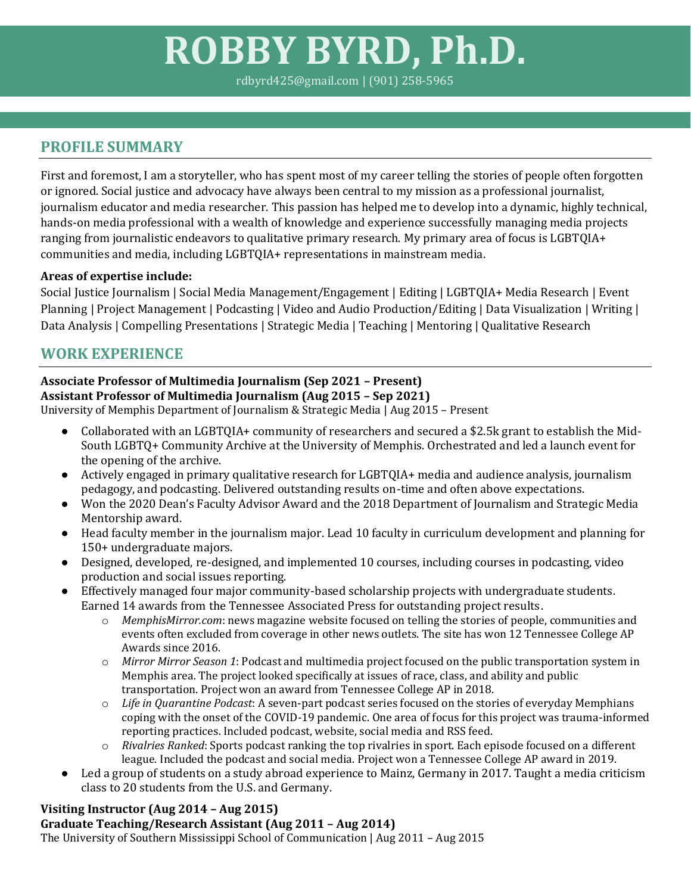# **ROBBY BYRD, Ph.D.**

rdbyrd425@gmail.com | (901) 258-5965

## **PROFILE SUMMARY**

First and foremost, I am a storyteller, who has spent most of my career telling the stories of people often forgotten or ignored. Social justice and advocacy have always been central to my mission as a professional journalist, journalism educator and media researcher. This passion has helped me to develop into a dynamic, highly technical, hands-on media professional with a wealth of knowledge and experience successfully managing media projects ranging from journalistic endeavors to qualitative primary research. My primary area of focus is LGBTQIA+ communities and media, including LGBTQIA+ representations in mainstream media.

## **Areas of expertise include:**

Social Justice Journalism | Social Media Management/Engagement | Editing | LGBTQIA+ Media Research | Event Planning | Project Management | Podcasting | Video and Audio Production/Editing | Data Visualization | Writing | Data Analysis | Compelling Presentations | Strategic Media | Teaching | Mentoring | Qualitative Research

# **WORK EXPERIENCE**

#### **Associate Professor of Multimedia Journalism (Sep 2021 – Present) Assistant Professor of Multimedia Journalism (Aug 2015 – Sep 2021)**

University of Memphis Department of Journalism & Strategic Media | Aug 2015 – Present

- Collaborated with an LGBTQIA+ community of researchers and secured a \$2.5k grant to establish the Mid-South LGBTQ+ Community Archive at the University of Memphis. Orchestrated and led a launch event for the opening of the archive.
- Actively engaged in primary qualitative research for LGBTQIA+ media and audience analysis, journalism pedagogy, and podcasting. Delivered outstanding results on-time and often above expectations.
- Won the 2020 Dean's Faculty Advisor Award and the 2018 Department of Journalism and Strategic Media Mentorship award.
- Head faculty member in the journalism major. Lead 10 faculty in curriculum development and planning for 150+ undergraduate majors.
- Designed, developed, re-designed, and implemented 10 courses, including courses in podcasting, video production and social issues reporting.
- Effectively managed four major community-based scholarship projects with undergraduate students. Earned 14 awards from the Tennessee Associated Press for outstanding project results.
	- o *MemphisMirror.com*: news magazine website focused on telling the stories of people, communities and events often excluded from coverage in other news outlets. The site has won 12 Tennessee College AP Awards since 2016.
	- o *Mirror Mirror Season 1*: Podcast and multimedia project focused on the public transportation system in Memphis area. The project looked specifically at issues of race, class, and ability and public transportation. Project won an award from Tennessee College AP in 2018.
	- o *Life in Quarantine Podcast*: A seven-part podcast series focused on the stories of everyday Memphians coping with the onset of the COVID-19 pandemic. One area of focus for this project was trauma-informed reporting practices. Included podcast, website, social media and RSS feed.
	- o *Rivalries Ranked*: Sports podcast ranking the top rivalries in sport. Each episode focused on a different league. Included the podcast and social media. Project won a Tennessee College AP award in 2019.
- Led a group of students on a study abroad experience to Mainz, Germany in 2017. Taught a media criticism class to 20 students from the U.S. and Germany.

## **Visiting Instructor (Aug 2014 – Aug 2015)**

## **Graduate Teaching/Research Assistant (Aug 2011 – Aug 2014)**

The University of Southern Mississippi School of Communication | Aug 2011 – Aug 2015